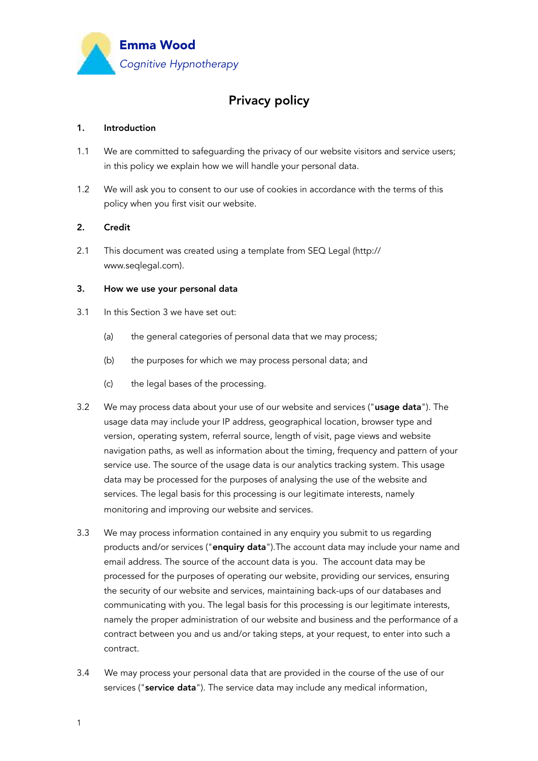

# Privacy policy

## 1. Introduction

- 1.1 We are committed to safeguarding the privacy of our website visitors and service users; in this policy we explain how we will handle your personal data.
- 1.2 We will ask you to consent to our use of cookies in accordance with the terms of this policy when you first visit our website.

# 2. Credit

2.1 This document was created using a template from SEQ Legal (http:// www.seqlegal.com).

### 3. How we use your personal data

- 3.1 In this Section 3 we have set out:
	- (a) the general categories of personal data that we may process;
	- (b) the purposes for which we may process personal data; and
	- (c) the legal bases of the processing.
- 3.2 We may process data about your use of our website and services ("usage data"). The usage data may include your IP address, geographical location, browser type and version, operating system, referral source, length of visit, page views and website navigation paths, as well as information about the timing, frequency and pattern of your service use. The source of the usage data is our analytics tracking system. This usage data may be processed for the purposes of analysing the use of the website and services. The legal basis for this processing is our legitimate interests, namely monitoring and improving our website and services.
- 3.3 We may process information contained in any enquiry you submit to us regarding products and/or services ("enquiry data"). The account data may include your name and email address. The source of the account data is you. The account data may be processed for the purposes of operating our website, providing our services, ensuring the security of our website and services, maintaining back-ups of our databases and communicating with you. The legal basis for this processing is our legitimate interests, namely the proper administration of our website and business and the performance of a contract between you and us and/or taking steps, at your request, to enter into such a contract.
- 3.4 We may process your personal data that are provided in the course of the use of our services ("service data"). The service data may include any medical information,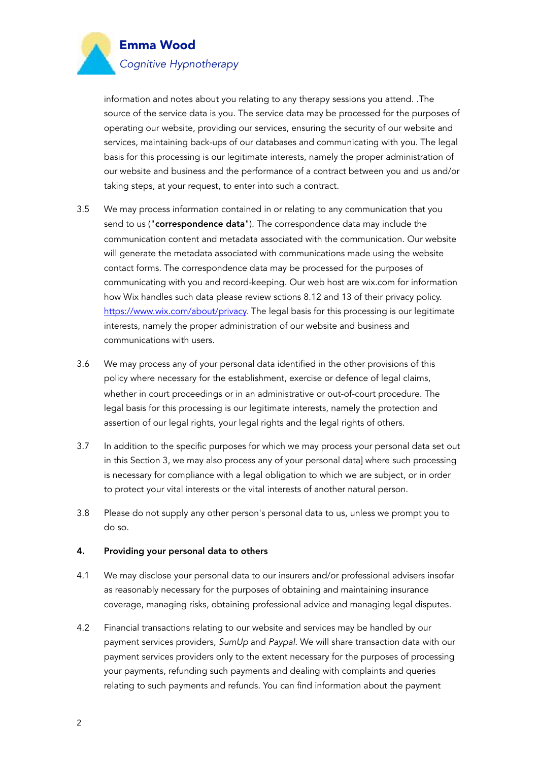

information and notes about you relating to any therapy sessions you attend. .The source of the service data is you. The service data may be processed for the purposes of operating our website, providing our services, ensuring the security of our website and services, maintaining back-ups of our databases and communicating with you. The legal basis for this processing is our legitimate interests, namely the proper administration of our website and business and the performance of a contract between you and us and/or taking steps, at your request, to enter into such a contract.

- 3.5 We may process information contained in or relating to any communication that you send to us ("correspondence data"). The correspondence data may include the communication content and metadata associated with the communication. Our website will generate the metadata associated with communications made using the website contact forms. The correspondence data may be processed for the purposes of communicating with you and record-keeping. Our web host are wix.com for information how Wix handles such data please review sctions 8.12 and 13 of their privacy policy. [https://www.wix.com/about/privacy.](https://www.wix.com/about/privacy) The legal basis for this processing is our legitimate interests, namely the proper administration of our website and business and communications with users.
- 3.6 We may process any of your personal data identified in the other provisions of this policy where necessary for the establishment, exercise or defence of legal claims, whether in court proceedings or in an administrative or out-of-court procedure. The legal basis for this processing is our legitimate interests, namely the protection and assertion of our legal rights, your legal rights and the legal rights of others.
- 3.7 In addition to the specific purposes for which we may process your personal data set out in this Section 3, we may also process any of your personal data] where such processing is necessary for compliance with a legal obligation to which we are subject, or in order to protect your vital interests or the vital interests of another natural person.
- 3.8 Please do not supply any other person's personal data to us, unless we prompt you to do so.

### 4. Providing your personal data to others

- 4.1 We may disclose your personal data to our insurers and/or professional advisers insofar as reasonably necessary for the purposes of obtaining and maintaining insurance coverage, managing risks, obtaining professional advice and managing legal disputes.
- 4.2 Financial transactions relating to our website and services may be handled by our payment services providers, *SumUp* and *Paypal*. We will share transaction data with our payment services providers only to the extent necessary for the purposes of processing your payments, refunding such payments and dealing with complaints and queries relating to such payments and refunds. You can find information about the payment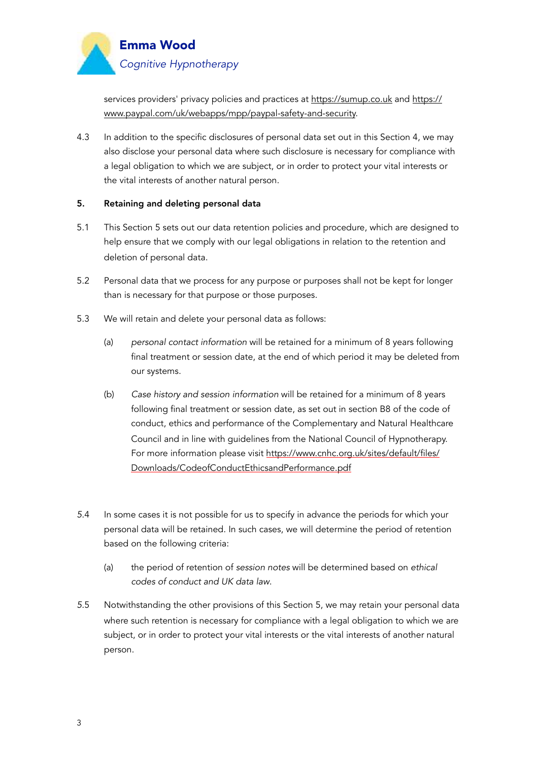

services providers' privacy policies and practices at<https://sumup.co.uk> and https:// www.paypal.com/uk/webapps/mpp/paypal-safety-and-security.

4.3 In addition to the specific disclosures of personal data set out in this Section 4, we may also disclose your personal data where such disclosure is necessary for compliance with a legal obligation to which we are subject, or in order to protect your vital interests or the vital interests of another natural person.

# 5. Retaining and deleting personal data

- 5.1 This Section 5 sets out our data retention policies and procedure, which are designed to help ensure that we comply with our legal obligations in relation to the retention and deletion of personal data.
- 5.2 Personal data that we process for any purpose or purposes shall not be kept for longer than is necessary for that purpose or those purposes.
- 5.3 We will retain and delete your personal data as follows:
	- (a) *personal contact information* will be retained for a minimum of 8 years following final treatment or session date, at the end of which period it may be deleted from our systems.
	- (b) *Case history and session information* will be retained for a minimum of 8 years following final treatment or session date, as set out in section B8 of the code of conduct, ethics and performance of the Complementary and Natural Healthcare Council and in line with guidelines from the National Council of Hypnotherapy. For more information please visit https://www.cnhc.org.uk/sites/default/files/ Downloads/CodeofConductEthicsandPerformance.pdf
- *5*.4 In some cases it is not possible for us to specify in advance the periods for which your personal data will be retained. In such cases, we will determine the period of retention based on the following criteria:
	- (a) the period of retention of *session notes* will be determined based on *ethical codes of conduct and UK data law*.
- *5*.5 Notwithstanding the other provisions of this Section 5, we may retain your personal data where such retention is necessary for compliance with a legal obligation to which we are subject, or in order to protect your vital interests or the vital interests of another natural person.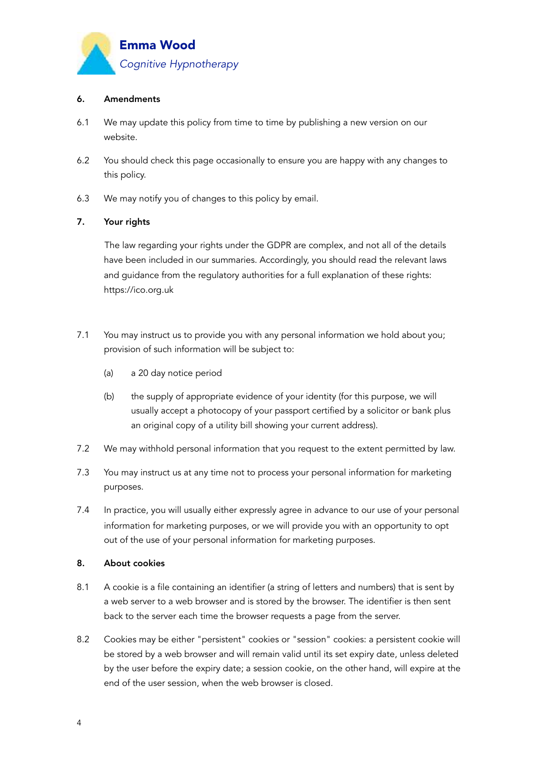

## 6. Amendments

- 6.1 We may update this policy from time to time by publishing a new version on our website.
- 6.2 You should check this page occasionally to ensure you are happy with any changes to this policy.
- 6.3 We may notify you of changes to this policy by email.

## 7. Your rights

 The law regarding your rights under the GDPR are complex, and not all of the details have been included in our summaries. Accordingly, you should read the relevant laws and guidance from the regulatory authorities for a full explanation of these rights: https://ico.org.uk

- 7.1 You may instruct us to provide you with any personal information we hold about you; provision of such information will be subject to:
	- (a) a 20 day notice period
	- (b) the supply of appropriate evidence of your identity (for this purpose, we will usually accept a photocopy of your passport certified by a solicitor or bank plus an original copy of a utility bill showing your current address).
- 7.2 We may withhold personal information that you request to the extent permitted by law.
- 7.3 You may instruct us at any time not to process your personal information for marketing purposes.
- 7.4 In practice, you will usually either expressly agree in advance to our use of your personal information for marketing purposes, or we will provide you with an opportunity to opt out of the use of your personal information for marketing purposes.

### 8. About cookies

- 8.1 A cookie is a file containing an identifier (a string of letters and numbers) that is sent by a web server to a web browser and is stored by the browser. The identifier is then sent back to the server each time the browser requests a page from the server.
- 8.2 Cookies may be either "persistent" cookies or "session" cookies: a persistent cookie will be stored by a web browser and will remain valid until its set expiry date, unless deleted by the user before the expiry date; a session cookie, on the other hand, will expire at the end of the user session, when the web browser is closed.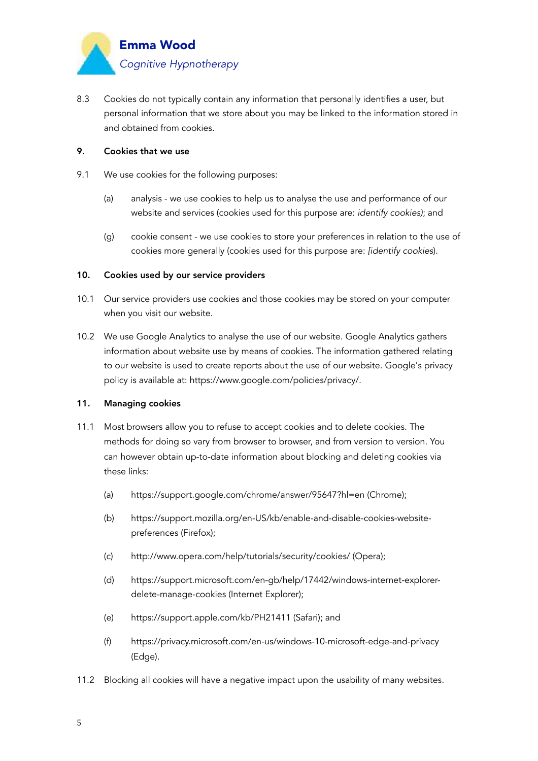

8.3 Cookies do not typically contain any information that personally identifies a user, but personal information that we store about you may be linked to the information stored in and obtained from cookies.

## 9. Cookies that we use

- 9.1 We use cookies for the following purposes:
	- (a) analysis we use cookies to help us to analyse the use and performance of our website and services (cookies used for this purpose are: *identify cookies)*; and
	- (g) cookie consent we use cookies to store your preferences in relation to the use of cookies more generally (cookies used for this purpose are: *[identify cookies*).

#### 10. Cookies used by our service providers

- 10.1 Our service providers use cookies and those cookies may be stored on your computer when you visit our website.
- 10.2 We use Google Analytics to analyse the use of our website. Google Analytics gathers information about website use by means of cookies. The information gathered relating to our website is used to create reports about the use of our website. Google's privacy policy is available at: https://www.google.com/policies/privacy/.

#### 11. Managing cookies

- 11.1 Most browsers allow you to refuse to accept cookies and to delete cookies. The methods for doing so vary from browser to browser, and from version to version. You can however obtain up-to-date information about blocking and deleting cookies via these links:
	- (a) https://support.google.com/chrome/answer/95647?hl=en (Chrome);
	- (b) https://support.mozilla.org/en-US/kb/enable-and-disable-cookies-websitepreferences (Firefox);
	- (c) http://www.opera.com/help/tutorials/security/cookies/ (Opera);
	- (d) https://support.microsoft.com/en-gb/help/17442/windows-internet-explorerdelete-manage-cookies (Internet Explorer);
	- (e) https://support.apple.com/kb/PH21411 (Safari); and
	- (f) https://privacy.microsoft.com/en-us/windows-10-microsoft-edge-and-privacy (Edge).
- 11.2 Blocking all cookies will have a negative impact upon the usability of many websites.